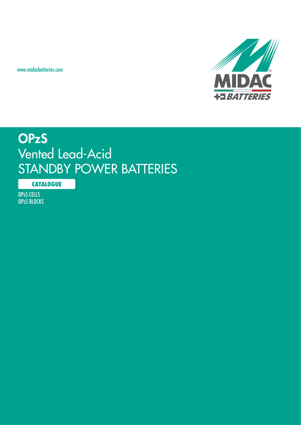www.midacbatteries.com



# **OPzS** Vented Lead-Acid STANDBY POWER BATTERIES

**CATALOGUE**

OPzS CELLS OPzS BLOCKS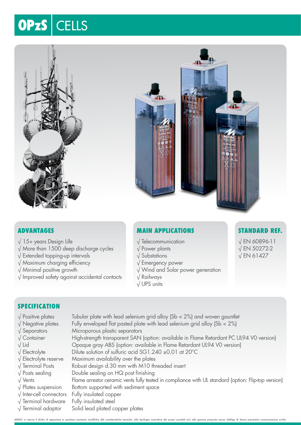# OPzS | CELLS



### **Advantages**

- $\sqrt{15+}$  years Design Life
- √ More than 1500 deep discharge cycles
- √ Extended topping-up intervals
- √ Maximum charging efficiency
- √ Minimal positive growth
- √ Improved safety against accidental contacts

### **Main Applications**

- √ Telecommunication
- √ Power plants
- √ Substations
- √ Emergency power
- √ Wind and Solar power generation
- √ Railways
- √ UPS units

### **Standard Ref.**

√ EN 60896-11 √ EN 50272-2 √ EN 61427

### **SPECIFICATION**

- 
- 
- 
- 
- 
- 
- 
- 
- 
- 
- 
- 
- 
- 
- $\sqrt{P}$  Positive plates Tubular plate with lead selenium grid alloy (Sb < 2%) and woven gauntlet  $\sqrt{\frac{1}{2}}$  Negative plates Fully enveloped flat pasted plate with lead selenium grid alloy (Sb < 2%) √ Separators Microporous plastic separators √ Container High-strength transparent SAN (option: available in Flame Retardant PC UL94 V0 version) √ Lid Opaque gray ABS (option: available in Flame Retardant UL94 V0 version) √ Electrolyte Dilute solution of sulfuric acid SG1.240 ±0.01 at 20°C √ Electrolyte reserve Maximum availability over the plates √ Terminal Posts Robust design d.30 mm with M10 threaded insert √ Posts sealing Double sealing on HQ post finishing √ Vents Flame arrestor ceramic vents fully tested in compliance with UL standard (option: Flip-top version) √ Plates suspension Bottom supported with sediment space √ Inter-cell connectors Fully insulated copper √ Terminal hardware Fully insulated steel
- √ Terminal adaptor Solid lead plated copper plates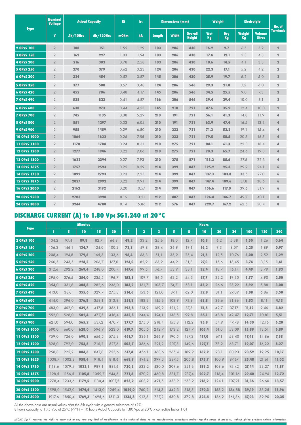| <b>Type</b>       | <b>Nominal</b><br><b>Voltage</b> | <b>Actual Capacity</b> | <b>Ri</b>        | <b>Isc</b> |       | <b>Dimensions (mm)</b> |              |                                 | Weight           | <b>Electrolyte</b> | No. of              |                                |                  |
|-------------------|----------------------------------|------------------------|------------------|------------|-------|------------------------|--------------|---------------------------------|------------------|--------------------|---------------------|--------------------------------|------------------|
|                   | $\mathbf{V}$                     | Ah/10Hrs               | <b>Ah/120Hrs</b> | m0hm       | kA    | <b>Length</b>          | <b>Width</b> | <b>Overall</b><br><b>Height</b> | <b>Wet</b><br>Kg | <b>Dry</b><br>Kg   | <b>Weight</b><br>Kg | <b>Volume</b><br><b>Litres</b> | <b>Terminals</b> |
| 2 OPzS 100        | $\overline{2}$                   | 108                    | 151              | 1.55       | 1.29  | 103                    | 206          | 430                             | 16.2             | 9.7                | 6.5                 | 5.2                            | $\overline{2}$   |
| 3 OPzS 150        | $\overline{2}$                   | 162                    | 227              | 1.03       | 1.94  | 103                    | 206          | 430                             | 17.4             | 12.1               | 5.3                 | 4.3                            | $\overline{2}$   |
| 4 OPzS 200        | $\overline{2}$                   | 216                    | 303              | 0.78       | 2.58  | 103                    | 206          | 430                             | 18.6             | 14.5               | 4.1                 | 3.3                            | $\overline{2}$   |
| 5 OPzS 250        | $\overline{2}$                   | 270                    | 379              | 0.62       | 3.23  | 124                    | 206          | 430                             | 22.3             | 17.1               | 5.2                 | 4.2                            | $\overline{2}$   |
| 6 OPzS 300        | $\overline{2}$                   | 324                    | 454              | 0.52       | 3.87  | 145                    | 206          | 430                             | 25.9             | 19.7               | 6.2                 | 5.0                            | $\overline{2}$   |
| 5 OPzS 350        | $\overline{2}$                   | 377                    | 588              | 0.57       | 3.48  | 124                    | 206          | 546                             | 29.3             | 21.8               | 7.5                 | 6.0                            | $\overline{2}$   |
| 6 OPzS 420        | $\overline{2}$                   | 452                    | 706              | 0.48       | 4.17  | 145                    | 206          | 546                             | 34.5             | 25.5               | 9.0                 | 7.3                            | $\overline{2}$   |
| <b>7 OPzS 490</b> | $\overline{2}$                   | 528                    | 823              | 0.41       | 4.87  | 166                    | 206          | 546                             | 39.4             | 29.4               | 10.0                | 8.1                            | $\overline{2}$   |
| 6 OPzS 600        | $\overline{2}$                   | 638                    | 973              | 0.44       | 4.53  | 145                    | 210          | 721                             | 47.6             | 35.2               | 12.4                | 10.0                           | $\overline{2}$   |
| <b>7 OPzS 700</b> | $\overline{2}$                   | 745                    | 1135             | 0.38       | 5.29  | 210                    | 191          | 721                             | 56.1             | 41.3               | 14.8                | 11.9                           | 4                |
| 8 OPzS 800        | $\overline{2}$                   | 851                    | 1297             | 0.33       | 6.04  | 210                    | 191          | 721                             | 63.9             | 47.4               | 16.5                | 13.3                           | 4                |
| <b>9 OPzS 900</b> | $\overline{2}$                   | 958                    | 1459             | 0.29       | 6.80  | 210                    | 233          | 721                             | 71.2             | 52.2               | 19.1                | 15.4                           | 4                |
| 10 OPzS 1000      | $\overline{2}$                   | 1064                   | 1622             | 0.26       | 7.55  | 210                    | 233          | 721                             | 79.5             | 58.5               | 20.5                | 16.5                           | 4                |
| 11 OPzS 1100      | $\overline{2}$                   | 1170                   | 1784             | 0.24       | 8.31  | 210                    | 275          | 721                             | 84.1             | 61.3               | 22.8                | 18.4                           | 4                |
| 12 OPzS 1200      | $\overline{2}$                   | 1277                   | 1946             | 0.22       | 9.06  | 210                    | 275          | 721                             | 90.3             | 65.7               | 24.6                | 19.8                           | 4                |
| 12 OPzS 1500      | $\overline{2}$                   | 1622                   | 2394             | 0.27       | 7.93  | 210                    | 275          | 871                             | 113.2            | 85.6               | 27.6                | 22.3                           | 4                |
| 13 OPzS 1625      | $\overline{2}$                   | 1757                   | 2593             | 0.25       | 8.59  | 214                    | 399          | 847                             | 125.2            | 95.3               | 29.9                | 24.1                           | 6                |
| 14 OPzS 1750      | $\overline{2}$                   | 1892                   | 2793             | 0.23       | 9.25  | 214                    | 399          | 847                             | 137.3            | 103.8              | 33.5                | 27.0                           | 6                |
| 15 OPzS 1875      | $\overline{2}$                   | 2027                   | 2992             | 0.22       | 9.91  | 214                    | 399          | 847                             | 147.4            | 109.6              | 37.8                | 30.5                           | 6                |
| 16 OPzS 2000      | $\overline{2}$                   | 2162                   | 3192             | 0.20       | 10.57 | 214                    | 399          | 847                             | 156.6            | 117.0              | 39.6                | 31.9                           | 6                |
| 20 OPzS 2500      | $\overline{2}$                   | 2703                   | 3990             | 0.16       | 13.21 | 212                    | 487          | 847                             | 196.4            | 146.7              | 49.7                | 40.1                           | 8                |
| 24 OPzS 3000      | $\overline{2}$                   | 3244                   | 4788             | 0.14       | 15.86 | 212                    | 576          | 847                             | 229.7            | 167.2              | 62.5                | 50.4                           | 8                |

# **DISCHARGE CURRENT (A) to 1.80 Vpc SG1.240 at 20°C**

|                   |        |        | <b>Minutes</b> |        |        | <b>Hours</b> |                |                         |       |       |       |       |        |       |       |       |  |
|-------------------|--------|--------|----------------|--------|--------|--------------|----------------|-------------------------|-------|-------|-------|-------|--------|-------|-------|-------|--|
| <b>Type</b>       | п      | 5      | 10             | 15     | 30     | п            | $\overline{2}$ | $\overline{\mathbf{3}}$ | 5     | 8     | 10    | 20    | 24     | 100   | 120   | 240   |  |
| 2 OPzS 100        | 104,2  | 97,4   | 89,8           | 82,7   | 66,8   | 49,2         | 33,2           | 25,6                    | 18,0  | 12,7  | 10,8  | 6,2   | 5,38   | 1,50  | 1,26  | 0,64  |  |
| 3 OPzS 150        | 156,3  | 146.1  | 134,7          | 124,0  | 100.2  | 73,8         | 49,8           | 38,4                    | 26,9  | 19,1  | 16,2  | 9,3   | 8,07   | 2,25  | 1,89  | 0,97  |  |
| 4 OPzS 200        | 208,4  | 194,8  | 179,6          | 165,3  | 133,6  | 98,4         | 66,3           | 51,1                    | 35,9  | 25,4  | 21,6  | 12,5  | 10,76  | 3,00  | 2,52  | 1,29  |  |
| 5 OPzS 250        | 260,5  | 243,5  | 224.5          | 206.7  | 167,0  | 123.0        | 82,9           | 63,9                    | 44,9  | 31,8  | 27,0  | 15,6  | 13,45  | 3,74  | 3,15  | 1,61  |  |
| 6 OPzS 300        | 312,6  | 292,2  | 269,4          | 248,0  | 200,4  | 147,6        | 99,5           | 76,7                    | 53,9  | 38,1  | 32,4  | 18,7  | 16,14  | 4,49  | 3,79  | 1,93  |  |
| 5 OPzS 350        | 295,0  | 276,5  | 254,0          | 235,5  | 196.7  | 153,3        | 109,7          | 86,5                    | 62,2  | 44,3  | 37,7  | 22,2  | 19,35  | 5,77  | 4,90  | 2,50  |  |
| 6 OPzS 420        | 354,0  | 331,8  | 304,8          | 282,6  | 236,0  | 183,9        | 131,7          | 103,7                   | 74,7  | 53,1  | 45,2  | 26,6  | 23,22  | 6,92  | 5,88  | 3,00  |  |
| <b>7 OPzS 490</b> | 413,0  | 387,1  | 355,6          | 329,7  | 275,3  | 214,6        | 153,6          | 121,0                   | 87,1  | 62,0  | 52,8  | 31,1  | 27,09  | 8,08  | 6,86  | 3,50  |  |
| 6 OPzS 600        | 414,0  | 396.0  | 376.8          | 358.1  | 313,8  | 251,8        | 183,3          | 145,6                   | 103,9 | 74,8  | 63,8  | 36,6  | 31,86  | 9,53  | 8,11  | 4,13  |  |
| <b>7 OPzS 700</b> | 483,0  | 462,0  | 439,6          | 417,8  | 366,1  | 293,8        | 213,9          | 169,9                   | 121,2 | 87,3  | 74,5  | 42,7  | 37,17  | 11,12 | 9,46  | 4,82  |  |
| 8 OPzS 800        | 552,0  | 528.0  | 502.4          | 477.5  | 418.4  | 335,8        | 244.4          | 194,1                   | 138,5 | 99,8  | 85,1  | 48,8  | 42,47  | 12,71 | 10,81 | 5,51  |  |
| <b>9 OPzS 900</b> | 621,0  | 594,0  | 565,2          | 537,2  | 470,7  | 377,7        | 275,0          | 218,4                   | 155,8 | 112,2 | 95,8  | 54,9  | 47,78  | 14,30 | 12,16 | 6,20  |  |
| 10 OPzS 1000      | 690,0  | 660,0  | 628.0          | 596,9  | 523.0  | 419.7        | 305,5          | 242,7                   | 173,2 | 124,7 | 106,4 | 61,0  | 53,09  | 15,89 | 13,51 | 6,89  |  |
| 11 OPzS 1100      | 759,0  | 726,0  | 690.8          | 656.5  | 575.3  | 461.7        | 336.1          | 266.9                   | 190,5 | 137,2 | 117,0 | 67,1  | 58,40  | 17,48 | 14,86 | 7,58  |  |
| 12 OPzS 1200      | 828,0  | 792,0  | 753,6          | 716.2  | 627,6  | 503,7        | 366.6          | 291,2                   | 207,8 | 149,6 | 127,7 | 73,2  | 63,71  | 19,07 | 16,22 | 8,27  |  |
| 12 OPzS 1500      | 958,8  | 925,2  | 884,6          | 847,8  | 755,6  | 617,4        | 456,1          | 368,6                   | 265,4 | 189,9 | 162,2 | 93,1  | 80,93  | 23,52 | 19,95 | 10,17 |  |
| 13 OPzS 1625      | 1038,7 | 1002,3 | 958,4          | 918,4  | 818,6  | 668,9        | 494,2          | 399,3                   | 287,5 | 205,8 | 175,7 | 100,9 | 87,67  | 25,48 | 21,61 | 11,02 |  |
| 14 OPzS 1750      | 1118,6 | 1079.4 | 1032.1         | 989.1  | 881.6  | 720.3        | 532,2          | 430.0                   | 309,6 | 221,6 | 189,2 | 108,6 | 94,42  | 27,44 | 23,27 | 11,87 |  |
| 15 OPzS 1875      | 1198,5 | 1156,5 | 1105,8         | 1059.7 | 944.5  | 771.8        | 570,2          | 460.8                   | 331,7 | 237,4 | 202,7 | 116,4 | 101,16 | 29,40 | 24,94 | 12,72 |  |
| 16 OPzS 2000      | 1278,4 | 1233,6 | 1179,5         | 1130,4 | 1007,5 | 823,2        | 608,2          | 491,5                   | 353,9 | 253,2 | 216,2 | 124,1 | 107,91 | 31,36 | 26,60 | 13,57 |  |
| 20 OPzS 2500      | 1598,0 | 1542,0 | 1474.4         | 1413,0 | 1259,4 | 1029,0       | 760,2          | 614,3                   | 442,3 | 316,5 | 270,3 | 155,2 | 134,88 | 39,19 | 33,25 | 16,96 |  |
| 24 OPzS 3000      | 1917,6 | 1850.4 | 1769.3         | 1695.6 | 1511.3 | 1234,8       | 912,3          | 737,2                   | 530,8 | 379,8 | 324,4 | 186.2 | 161,86 | 47,03 | 39,90 | 20,35 |  |

All the above data are actual values after the 5th cycle with a general tolerance of  $\pm 2\%$ 

8 hours capacity to 1,75 Vpc at 25°C (77°F) = 10 hours Actual Capacity to 1,80 Vpc at 20°C x corrective factor 1,01

*MIDAC S.p.A. reserves the right to carry out at any time any kind of modification to the technical data, to the manufacturing procedures and/or top the range of products, without giving previous written information.*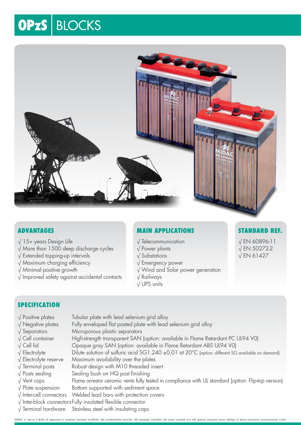# **OPzS BLOCKS**



### **Advantages**

- $\sqrt{15+}$  years Design Life
- √ More than 1500 deep discharge cycles
- √ Extended topping-up intervals
- √ Maximum charging efficiency
- √ Minimal positive growth
- √ Improved safety against accidental contacts

# **Main Applications**

- √ Telecommunication
- √ Power plants
- √ Substations
- √ Emergency power
- √ Wind and Solar power generation
- √ Railways
- √ UPS units

### **Standard Ref.**

√ EN 60896-11 √ EN 50272-2 √ EN 61427

### **SPECIFICATION**

- $\sqrt{\frac{1}{2}}$  Positive plates Tubular plate with lead selenium grid alloy
- √ Negative plates Fully enveloped flat pasted plate with lead selenium grid alloy
- √ Separators Microporous plastic separators
- √ Cell container High-strength transparent SAN (option: available in Flame Retardant PC UL94 V0)
- √ Cell lid Opaque gray SAN (option: available in Flame Retardant ABS UL94 V0)
- √ Electrolyte Dilute solution of sulfuric acid SG1.240 ±0.01 at 20°C (option: different SG available on demand)
- √ Electrolyte reserve Maximum availability over the plates
- √ Terminal posts Robust design with M10 threaded insert
- $\sqrt{\frac{1}{100}}$  Posts sealing Sealing bush on HQ post finishing
- √ Vent caps Flame arrestor ceramic vents fully tested in compliance with UL standard (option: Flip-top version)
- $\sqrt{\frac{1}{10}}$  Plate suspension Bottom supported with sediment space
- √ Inter-cell connectors Welded lead bars with protection covers
- √ Inter-block connectorsFully insulated flexible connector
- √ Terminal hardware Stainless steel with insulating caps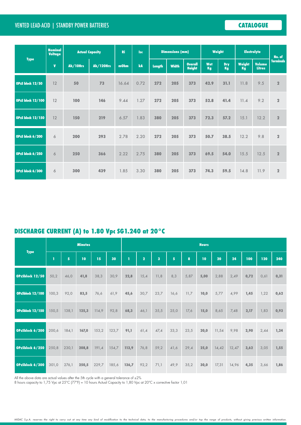# Vented Lead-Acid | STANDBY POWER BATTERIES **CATALOGUE**

| <b>Type</b>              | Nominal<br><b>Voltage</b> | <b>Actual Capacity</b> | <b>Ri</b><br><b>Isc</b> |       |      | <b>Dimensions (mm)</b> |              |                                 | <b>Weight</b> | <b>Electrolyte</b> |                     | No. of                         |                |
|--------------------------|---------------------------|------------------------|-------------------------|-------|------|------------------------|--------------|---------------------------------|---------------|--------------------|---------------------|--------------------------------|----------------|
|                          | $\mathbf{V}$              | Ah/10Hrs               | <b>Ah/120Hrs</b>        | mOhm  | kA   | <b>Length</b>          | <b>Width</b> | <b>Overall</b><br><b>Height</b> | Wet<br>Kg     | <b>Dry</b><br>Kg   | Weight<br><b>Kg</b> | <b>Volume</b><br><b>Litres</b> | Terminals      |
| OPzS block 12/50         | 12                        | 50                     | 73                      | 16.64 | 0.72 | 272                    | 205          | 373                             | 42.9          | 31.1               | 11.8                | 9.5                            | $\overline{2}$ |
| <b>OPzS block 12/100</b> | 12                        | 100                    | 146                     | 9.44  | 1.27 | 272                    | 205          | 373                             | 52.8          | 41.4               | 11.4                | 9.2                            | $\mathbf 2$    |
| <b>OPzS block 12/150</b> | 12                        | 150                    | 219                     | 6.57  | 1.83 | 380                    | 205          | 373                             | 72.3          | 57.2               | 15.1                | 12.2                           | $\overline{2}$ |
| OPzS block 6/200         | 6                         | 200                    | 293                     | 2.78  | 2.20 | 272                    | 205          | 373                             | 50.7          | 38.5               | 12.2                | 9.8                            | $\overline{2}$ |
| OPzS block 6/250         | 6                         | 250                    | 366                     | 2.22  | 2.75 | 380                    | 205          | 373                             | 69.5          | 54.0               | 15.5                | 12.5                           | $\overline{2}$ |
| OPzS block 6/300         | 6                         | 300                    | 439                     | 1.85  | 3.30 | 380                    | 205          | 373                             | 74.3          | 59.5               | 14.8                | 11.9                           | $\overline{2}$ |

# **DISCHARGE CURRENT (A) to 1.80 Vpc SG1.240 at 20°C**

| <b>Type</b>      |       |                | <b>Minutes</b> |       |       |       |                |                         |                |      | <b>Hours</b> |       |       |      |      |      |  |  |  |  |  |  |  |
|------------------|-------|----------------|----------------|-------|-------|-------|----------------|-------------------------|----------------|------|--------------|-------|-------|------|------|------|--|--|--|--|--|--|--|
|                  | п     | 5 <sup>1</sup> | 10             | 15    | 30    | т     | $\overline{2}$ | $\overline{\mathbf{3}}$ | 5 <sup>1</sup> | 8    | 10           | 20    | 24    | 100  | 120  | 240  |  |  |  |  |  |  |  |
| OPzSblock 12/50  | 50,2  | 46,0           | 41,8           | 38,3  | 30,9  | 22,8  | 15,4           | 11,8                    | 8,3            | 5,87 | 5,00         | 2,88  | 2,49  | 0,72 | 0,61 | 0,31 |  |  |  |  |  |  |  |
| OPzSblock 12/100 | 100,3 | 92,0           | 83,5           | 76,6  | 61,9  | 45,6  | 30,7           | 23,7                    | 16,6           | 11,7 | 10,0         | 5,77  | 4,99  | 1,45 | 1,22 | 0,62 |  |  |  |  |  |  |  |
| OPzSblock 12/150 | 150,5 | 138,1          | 125,3          | 114,9 | 92,8  | 68,3  | 46,1           | 35,5                    | 25,0           | 17,6 | 15,0         | 8,65  | 7,48  | 2,17 | 1,83 | 0,93 |  |  |  |  |  |  |  |
| OPzSblock 6/200  | 200,6 | 184,1          | 167,0          | 153,2 | 123,7 | 91,1  | 61,4           | 47,4                    | 33,3           | 23,5 | 20,0         | 11,54 | 9,98  | 2,90 | 2,44 | 1,24 |  |  |  |  |  |  |  |
| OPzSblock 6/250  | 250,8 | 230,1          | 208,8          | 191,4 | 154,7 | 113,9 | 76,8           | 59,2                    | 41,6           | 29,4 | 25,0         | 14,42 | 12,47 | 3,62 | 3,05 | 1,55 |  |  |  |  |  |  |  |
| OPzSblock 6/300  | 301,0 | 276,1          | 250,5          | 229,7 | 185,6 | 136,7 | 92,2           | 71,1                    | 49,9           | 35,2 | 30,0         | 17,31 | 14,96 | 4,35 | 3,66 | 1,86 |  |  |  |  |  |  |  |

All the above data are actual values after the 5th cycle with a general tolerance of  $\pm 2\%$ 

8 hours capacity to 1,75 Vpc at 25°C (77°F) = 10 hours Actual Capacity to 1,80 Vpc at 20°C x corrective factor 1,01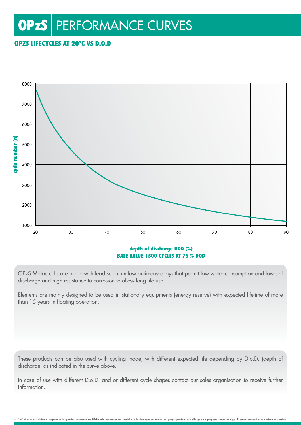# **OPzS** | PERFORMANCE CURVES

# OPzS LIFECYCLES AT 20°C vs D.o.D



### depth of discharge DOD (%) base value 1500 cycles at 75 % DOD

OPzS Midac cells are made with lead selenium low antimony alloys that permit low water consumption and low self discharge and high resistance to corrosion to allow long life use.

Elements are mainly designed to be used in stationary equipments (energy reserve) with expected lifetime of more than 15 years in floating operation.

These products can be also used with cycling mode, with different expected life depending by D.o.D. (depth of discharge) as indicated in the curve above.

In case of use with different D.o.D. and or different cycle shapes contact our sales organisation to receive further information.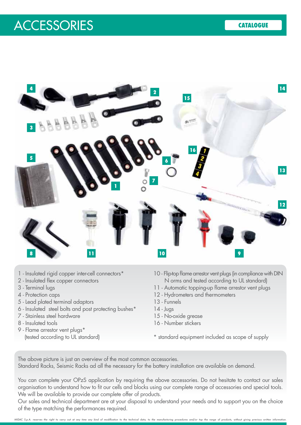# Vented Lead-Acid | STANDBY POWER BATTERIES **CATALOGUE** ACCESSORIES



- 1 Insulated rigid copper inter-cell connectors\*
- 2 Insulated flex copper connectors
- 3 Terminal lugs
- 4 Protection caps
- 5 Lead plated terminal adaptors
- 6 Insulated steel bolts and post protecting bushes\*
- 7 Stainless steel hardware
- 8 Insulated tools
- 9 Flame arrestor vent plugs\* (tested according to UL standard)
- 10 Flip-top flame arrestor vent plugs (in compliance with DIN N orms and tested according to UL standard)
- 11 Automatic topping-up flame arrestor vent plugs
- 12 Hydrometers and thermometers
- 13 Funnels
- 14 Jugs
- 15 No-oxide grease
- 16 Number stickers
- \* standard equipment included as scope of supply

The above picture is just an overview of the most common accessories. Standard Racks, Seismic Racks ad all the necessary for the battery installation are available on demand.

You can complete your OPzS application by requiring the above accessories. Do not hesitate to contact our sales organisation to understand how to fit our cells and blocks using our complete range of accessories and special tools. We will be available to provide our complete offer of products.

Our sales and technical department are at your disposal to understand your needs and to support you on the choice of the type matching the performances required.